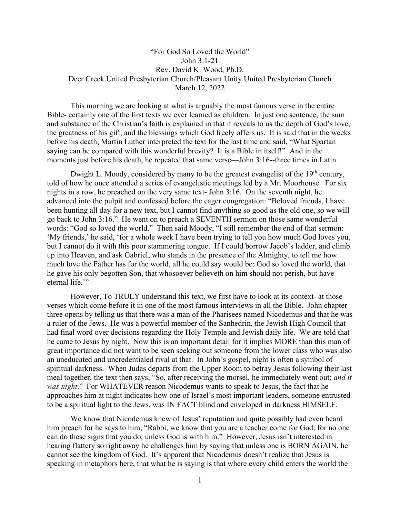## "For God So Loved the World" John 3:1-21 Rev. David K. Wood, Ph.D. Deer Creek United Presbyterian Church/Pleasant Unity United Presbyterian Church March 12, 2022

This morning we are looking at what is arguably the most famous verse in the entire Bible- certainly one of the first texts we ever learned as children. In just one sentence, the sum and substance of the Christian's faith is explained in that it reveals to us the depth of God's love, the greatness of his gift, and the blessings which God freely offers us. It is said that in the weeks before his death, Martin Luther interpreted the text for the last time and said, "What Spartan saying can be compared with this wonderful brevity? It is a Bible in itself!" And in the moments just before his death, he repeated that same verse—John 3:16--three times in Latin.

Dwight L. Moody, considered by many to be the greatest evangelist of the  $19<sup>th</sup>$  century, told of how he once attended a series of evangelistic meetings led by a Mr. Moorhouse. For six nights in a row, he preached on the very same text- John 3:16. On the seventh night, he advanced into the pulpit and confessed before the eager congregation: "Beloved friends, I have been hunting all day for a new text, but I cannot find anything so good as the old one, so we will go back to John 3:16." He went on to preach a SEVENTH sermon on those same wonderful words: "God so loved the world." Then said Moody, "I still remember the end of that sermon: 'My friends,' he said, 'for a whole week I have been trying to tell you how much God loves you, but I cannot do it with this poor stammering tongue. If I could borrow Jacob's ladder, and climb up into Heaven, and ask Gabriel, who stands in the presence of the Almighty, to tell me how much love the Father has for the world, all he could say would be: God so loved the world, that he gave his only begotten Son, that whosoever believeth on him should not perish, but have eternal life."

However, To TRULY understand this text, we first have to look at its context- at those verses which come before it in one of the most famous interviews in all the Bible. John chapter three opens by telling us that there was a man of the Pharisees named Nicodemus and that he was a ruler of the Jews. He was a powerful member of the Sanhedrin, the Jewish High Council that had final word over decisions regarding the Holy Temple and Jewish daily life. We are told that he came to Jesus by night. Now this is an important detail for it implies MORE than this man of great importance did not want to be seen seeking out someone from the lower class who was also an uneducated and uncredentialed rival at that. In John's gospel, night is often a symbol of spiritual darkness. When Judas departs from the Upper Room to betray Jesus following their last meal together, the text then says, "So, after receiving the morsel, he immediately went out; *and it was night*." For WHATEVER reason Nicodemus wants to speak to Jesus, the fact that he approaches him at night indicates how one of Israel's most important leaders, someone entrusted to be a spiritual light to the Jews, was IN FACT blind and enveloped in darkness HIMSELF.

We know that Nicodemus knew of Jesus' reputation and quite possibly had even heard him preach for he says to him, "Rabbi, we know that you are a teacher come for God; for no one can do these signs that you do, unless God is with him." However, Jesus isn't interested in hearing flattery so right away he challenges him by saying that unless one is BORN AGAIN, he cannot see the kingdom of God. It's apparent that Nicodemus doesn't realize that Jesus is speaking in metaphors here, that what he is saying is that where every child enters the world the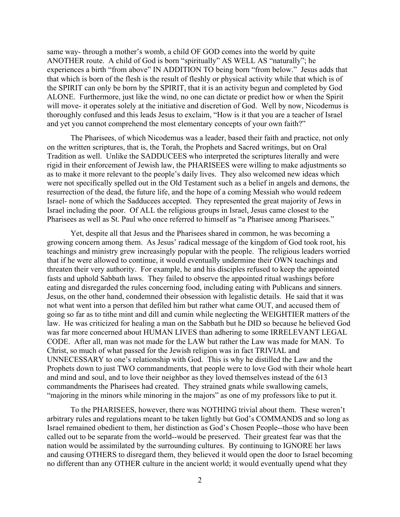same way- through a mother's womb, a child OF GOD comes into the world by quite ANOTHER route. A child of God is born "spiritually" AS WELL AS "naturally"; he experiences a birth "from above" IN ADDITION TO being born "from below." Jesus adds that that which is born of the flesh is the result of fleshly or physical activity while that which is of the SPIRIT can only be born by the SPIRIT, that it is an activity begun and completed by God ALONE. Furthermore, just like the wind, no one can dictate or predict how or when the Spirit will move- it operates solely at the initiative and discretion of God. Well by now, Nicodemus is thoroughly confused and this leads Jesus to exclaim, "How is it that you are a teacher of Israel and yet you cannot comprehend the most elementary concepts of your own faith?"

The Pharisees, of which Nicodemus was a leader, based their faith and practice, not only on the written scriptures, that is, the Torah, the Prophets and Sacred writings, but on Oral Tradition as well. Unlike the SADDUCEES who interpreted the scriptures literally and were rigid in their enforcement of Jewish law, the PHARISEES were willing to make adjustments so as to make it more relevant to the people's daily lives. They also welcomed new ideas which were not specifically spelled out in the Old Testament such as a belief in angels and demons, the resurrection of the dead, the future life, and the hope of a coming Messiah who would redeem Israel- none of which the Sadducees accepted. They represented the great majority of Jews in Israel including the poor. Of ALL the religious groups in Israel, Jesus came closest to the Pharisees as well as St. Paul who once referred to himself as "a Pharisee among Pharisees."

Yet, despite all that Jesus and the Pharisees shared in common, he was becoming a growing concern among them. As Jesus' radical message of the kingdom of God took root, his teachings and ministry grew increasingly popular with the people. The religious leaders worried that if he were allowed to continue, it would eventually undermine their OWN teachings and threaten their very authority. For example, he and his disciples refused to keep the appointed fasts and uphold Sabbath laws. They failed to observe the appointed ritual washings before eating and disregarded the rules concerning food, including eating with Publicans and sinners. Jesus, on the other hand, condemned their obsession with legalistic details. He said that it was not what went into a person that defiled him but rather what came OUT, and accused them of going so far as to tithe mint and dill and cumin while neglecting the WEIGHTIER matters of the law. He was criticized for healing a man on the Sabbath but he DID so because he believed God was far more concerned about HUMAN LIVES than adhering to some IRRELEVANT LEGAL CODE. After all, man was not made for the LAW but rather the Law was made for MAN. To Christ, so much of what passed for the Jewish religion was in fact TRIVIAL and UNNECESSARY to one's relationship with God. This is why he distilled the Law and the Prophets down to just TWO commandments, that people were to love God with their whole heart and mind and soul, and to love their neighbor as they loved themselves instead of the 613 commandments the Pharisees had created. They strained gnats while swallowing camels, "majoring in the minors while minoring in the majors" as one of my professors like to put it.

To the PHARISEES, however, there was NOTHING trivial about them. These weren't arbitrary rules and regulations meant to be taken lightly but God's COMMANDS and so long as Israel remained obedient to them, her distinction as God's Chosen People--those who have been called out to be separate from the world--would be preserved. Their greatest fear was that the nation would be assimilated by the surrounding cultures. By continuing to IGNORE her laws and causing OTHERS to disregard them, they believed it would open the door to Israel becoming no different than any OTHER culture in the ancient world; it would eventually upend what they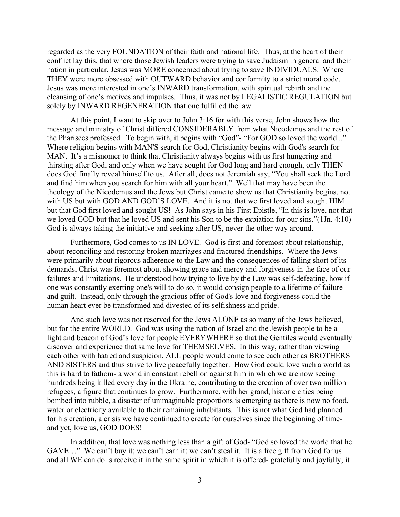regarded as the very FOUNDATION of their faith and national life. Thus, at the heart of their conflict lay this, that where those Jewish leaders were trying to save Judaism in general and their nation in particular, Jesus was MORE concerned about trying to save INDIVIDUALS. Where THEY were more obsessed with OUTWARD behavior and conformity to a strict moral code, Jesus was more interested in one's INWARD transformation, with spiritual rebirth and the cleansing of one's motives and impulses. Thus, it was not by LEGALISTIC REGULATION but solely by INWARD REGENERATION that one fulfilled the law.

At this point, I want to skip over to John 3:16 for with this verse, John shows how the message and ministry of Christ differed CONSIDERABLY from what Nicodemus and the rest of the Pharisees professed. To begin with, it begins with "God"- "For GOD so loved the world..." Where religion begins with MAN'S search for God, Christianity begins with God's search for MAN. It's a misnomer to think that Christianity always begins with us first hungering and thirsting after God, and only when we have sought for God long and hard enough, only THEN does God finally reveal himself to us. After all, does not Jeremiah say, "You shall seek the Lord and find him when you search for him with all your heart." Well that may have been the theology of the Nicodemus and the Jews but Christ came to show us that Christianity begins, not with US but with GOD AND GOD'S LOVE. And it is not that we first loved and sought HIM but that God first loved and sought US! As John says in his First Epistle, "In this is love, not that we loved GOD but that he loved US and sent his Son to be the expiation for our sins."(1Jn. 4:10) God is always taking the initiative and seeking after US, never the other way around.

Furthermore, God comes to us IN LOVE. God is first and foremost about relationship, about reconciling and restoring broken marriages and fractured friendships. Where the Jews were primarily about rigorous adherence to the Law and the consequences of falling short of its demands, Christ was foremost about showing grace and mercy and forgiveness in the face of our failures and limitations. He understood how trying to live by the Law was self-defeating, how if one was constantly exerting one's will to do so, it would consign people to a lifetime of failure and guilt. Instead, only through the gracious offer of God's love and forgiveness could the human heart ever be transformed and divested of its selfishness and pride.

And such love was not reserved for the Jews ALONE as so many of the Jews believed, but for the entire WORLD. God was using the nation of Israel and the Jewish people to be a light and beacon of God's love for people EVERYWHERE so that the Gentiles would eventually discover and experience that same love for THEMSELVES. In this way, rather than viewing each other with hatred and suspicion, ALL people would come to see each other as BROTHERS AND SISTERS and thus strive to live peacefully together. How God could love such a world as this is hard to fathom- a world in constant rebellion against him in which we are now seeing hundreds being killed every day in the Ukraine, contributing to the creation of over two million refugees, a figure that continues to grow. Furthermore, with her grand, historic cities being bombed into rubble, a disaster of unimaginable proportions is emerging as there is now no food, water or electricity available to their remaining inhabitants. This is not what God had planned for his creation, a crisis we have continued to create for ourselves since the beginning of timeand yet, love us, GOD DOES!

In addition, that love was nothing less than a gift of God- "God so loved the world that he GAVE…" We can't buy it; we can't earn it; we can't steal it. It is a free gift from God for us and all WE can do is receive it in the same spirit in which it is offered- gratefully and joyfully; it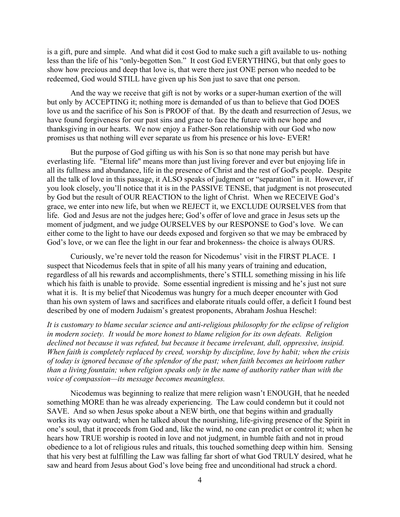is a gift, pure and simple. And what did it cost God to make such a gift available to us- nothing less than the life of his "only-begotten Son." It cost God EVERYTHING, but that only goes to show how precious and deep that love is, that were there just ONE person who needed to be redeemed, God would STILL have given up his Son just to save that one person.

And the way we receive that gift is not by works or a super-human exertion of the will but only by ACCEPTING it; nothing more is demanded of us than to believe that God DOES love us and the sacrifice of his Son is PROOF of that. By the death and resurrection of Jesus, we have found forgiveness for our past sins and grace to face the future with new hope and thanksgiving in our hearts. We now enjoy a Father-Son relationship with our God who now promises us that nothing will ever separate us from his presence or his love- EVER!

But the purpose of God gifting us with his Son is so that none may perish but have everlasting life. "Eternal life" means more than just living forever and ever but enjoying life in all its fullness and abundance, life in the presence of Christ and the rest of God's people. Despite all the talk of love in this passage, it ALSO speaks of judgment or "separation" in it. However, if you look closely, you'll notice that it is in the PASSIVE TENSE, that judgment is not prosecuted by God but the result of OUR REACTION to the light of Christ. When we RECEIVE God's grace, we enter into new life, but when we REJECT it, we EXCLUDE OURSELVES from that life. God and Jesus are not the judges here; God's offer of love and grace in Jesus sets up the moment of judgment, and we judge OURSELVES by our RESPONSE to God's love. We can either come to the light to have our deeds exposed and forgiven so that we may be embraced by God's love, or we can flee the light in our fear and brokenness- the choice is always OURS.

Curiously, we're never told the reason for Nicodemus' visit in the FIRST PLACE. I suspect that Nicodemus feels that in spite of all his many years of training and education, regardless of all his rewards and accomplishments, there's STILL something missing in his life which his faith is unable to provide. Some essential ingredient is missing and he's just not sure what it is. It is my belief that Nicodemus was hungry for a much deeper encounter with God than his own system of laws and sacrifices and elaborate rituals could offer, a deficit I found best described by one of modern Judaism's greatest proponents, Abraham Joshua Heschel:

*It is customary to blame secular science and anti-religious philosophy for the eclipse of religion in modern society. It would be more honest to blame religion for its own defeats. Religion declined not because it was refuted, but because it became irrelevant, dull, oppressive, insipid. When faith is completely replaced by creed, worship by discipline, love by habit; when the crisis of today is ignored because of the splendor of the past; when faith becomes an heirloom rather than a living fountain; when religion speaks only in the name of authority rather than with the voice of compassion—its message becomes meaningless.*

Nicodemus was beginning to realize that mere religion wasn't ENOUGH, that he needed something MORE than he was already experiencing. The Law could condemn but it could not SAVE. And so when Jesus spoke about a NEW birth, one that begins within and gradually works its way outward; when he talked about the nourishing, life-giving presence of the Spirit in one's soul, that it proceeds from God and, like the wind, no one can predict or control it; when he hears how TRUE worship is rooted in love and not judgment, in humble faith and not in proud obedience to a lot of religious rules and rituals, this touched something deep within him. Sensing that his very best at fulfilling the Law was falling far short of what God TRULY desired, what he saw and heard from Jesus about God's love being free and unconditional had struck a chord.